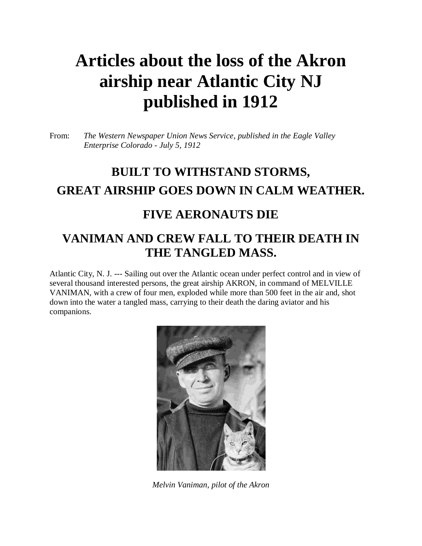## **Articles about the loss of the Akron airship near Atlantic City NJ published in 1912**

From: *The Western Newspaper Union News Service, published in the Eagle Valley Enterprise Colorado - July 5, 1912*

### **BUILT TO WITHSTAND STORMS, GREAT AIRSHIP GOES DOWN IN CALM WEATHER.**

#### **FIVE AERONAUTS DIE**

#### **VANIMAN AND CREW FALL TO THEIR DEATH IN THE TANGLED MASS.**

Atlantic City, N. J. --- Sailing out over the Atlantic ocean under perfect control and in view of several thousand interested persons, the great airship AKRON, in command of MELVILLE VANIMAN, with a crew of four men, exploded while more than 500 feet in the air and, shot down into the water a tangled mass, carrying to their death the daring aviator and his companions.



*Melvin Vaniman, pilot of the Akron*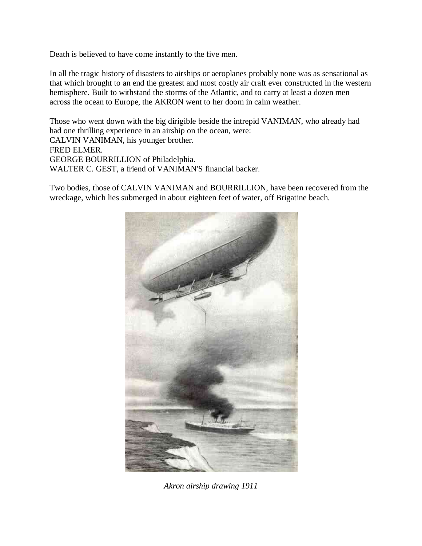Death is believed to have come instantly to the five men.

In all the tragic history of disasters to airships or aeroplanes probably none was as sensational as that which brought to an end the greatest and most costly air craft ever constructed in the western hemisphere. Built to withstand the storms of the Atlantic, and to carry at least a dozen men across the ocean to Europe, the AKRON went to her doom in calm weather.

Those who went down with the big dirigible beside the intrepid VANIMAN, who already had had one thrilling experience in an airship on the ocean, were: CALVIN VANIMAN, his younger brother. FRED ELMER. GEORGE BOURRILLION of Philadelphia. WALTER C. GEST, a friend of VANIMAN'S financial backer.

Two bodies, those of CALVIN VANIMAN and BOURRILLION, have been recovered from the wreckage, which lies submerged in about eighteen feet of water, off Brigatine beach.



*Akron airship drawing 1911*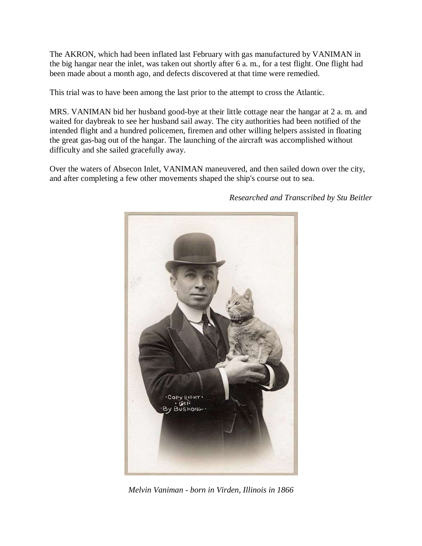The AKRON, which had been inflated last February with gas manufactured by VANIMAN in the big hangar near the inlet, was taken out shortly after 6 a. m., for a test flight. One flight had been made about a month ago, and defects discovered at that time were remedied.

This trial was to have been among the last prior to the attempt to cross the Atlantic.

MRS. VANIMAN bid her husband good-bye at their little cottage near the hangar at 2 a. m. and waited for daybreak to see her husband sail away. The city authorities had been notified of the intended flight and a hundred policemen, firemen and other willing helpers assisted in floating the great gas-bag out of the hangar. The launching of the aircraft was accomplished without difficulty and she sailed gracefully away.

Over the waters of Absecon Inlet, VANIMAN maneuvered, and then sailed down over the city, and after completing a few other movements shaped the ship's course out to sea.



*Researched and Transcribed by Stu Beitler*

*Melvin Vaniman - born in Virden, Illinois in 1866*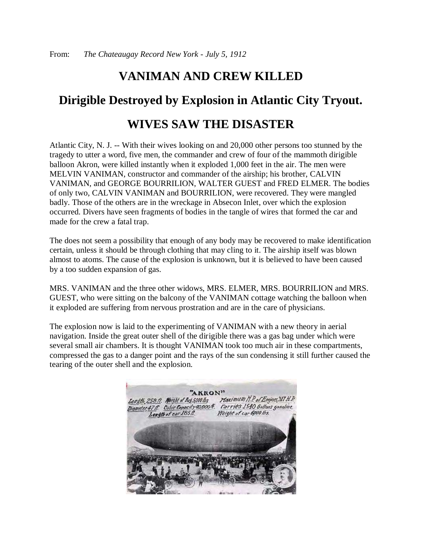#### **VANIMAN AND CREW KILLED**

# **Dirigible Destroyed by Explosion in Atlantic City Tryout.**

#### **WIVES SAW THE DISASTER**

Atlantic City, N. J. -- With their wives looking on and 20,000 other persons too stunned by the tragedy to utter a word, five men, the commander and crew of four of the mammoth dirigible balloon Akron, were killed instantly when it exploded 1,000 feet in the air. The men were MELVIN VANIMAN, constructor and commander of the airship; his brother, CALVIN VANIMAN, and GEORGE BOURRILION, WALTER GUEST and FRED ELMER. The bodies of only two, CALVIN VANIMAN and BOURRILION, were recovered. They were mangled badly. Those of the others are in the wreckage in Absecon Inlet, over which the explosion occurred. Divers have seen fragments of bodies in the tangle of wires that formed the car and made for the crew a fatal trap.

The does not seem a possibility that enough of any body may be recovered to make identification certain, unless it should be through clothing that may cling to it. The airship itself was blown almost to atoms. The cause of the explosion is unknown, but it is believed to have been caused by a too sudden expansion of gas.

MRS. VANIMAN and the three other widows, MRS. ELMER, MRS. BOURRILION and MRS. GUEST, who were sitting on the balcony of the VANIMAN cottage watching the balloon when it exploded are suffering from nervous prostration and are in the care of physicians.

The explosion now is laid to the experimenting of VANIMAN with a new theory in aerial navigation. Inside the great outer shell of the dirigible there was a gas bag under which were several small air chambers. It is thought VANIMAN took too much air in these compartments, compressed the gas to a danger point and the rays of the sun condensing it still further caused the tearing of the outer shell and the explosion.

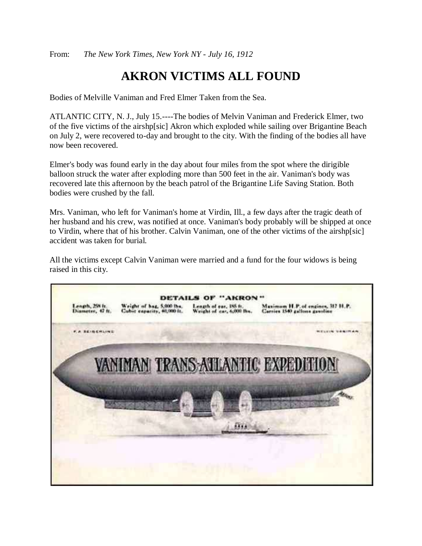From: *The New York Times, New York NY - July 16, 1912*

#### **AKRON VICTIMS ALL FOUND**

Bodies of Melville Vaniman and Fred Elmer Taken from the Sea.

ATLANTIC CITY, N. J., July 15.----The bodies of Melvin Vaniman and Frederick Elmer, two of the five victims of the airshp[sic] Akron which exploded while sailing over Brigantine Beach on July 2, were recovered to-day and brought to the city. With the finding of the bodies all have now been recovered.

Elmer's body was found early in the day about four miles from the spot where the dirigible balloon struck the water after exploding more than 500 feet in the air. Vaniman's body was recovered late this afternoon by the beach patrol of the Brigantine Life Saving Station. Both bodies were crushed by the fall.

Mrs. Vaniman, who left for Vaniman's home at Virdin, Ill., a few days after the tragic death of her husband and his crew, was notified at once. Vaniman's body probably will be shipped at once to Virdin, where that of his brother. Calvin Vaniman, one of the other victims of the airshp[sic] accident was taken for burial.

All the victims except Calvin Vaniman were married and a fund for the four widows is being raised in this city.

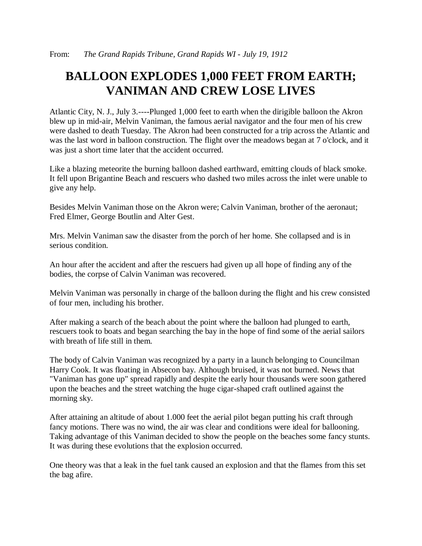#### **BALLOON EXPLODES 1,000 FEET FROM EARTH; VANIMAN AND CREW LOSE LIVES**

Atlantic City, N. J., July 3.----Plunged 1,000 feet to earth when the dirigible balloon the Akron blew up in mid-air, Melvin Vaniman, the famous aerial navigator and the four men of his crew were dashed to death Tuesday. The Akron had been constructed for a trip across the Atlantic and was the last word in balloon construction. The flight over the meadows began at 7 o'clock, and it was just a short time later that the accident occurred.

Like a blazing meteorite the burning balloon dashed earthward, emitting clouds of black smoke. It fell upon Brigantine Beach and rescuers who dashed two miles across the inlet were unable to give any help.

Besides Melvin Vaniman those on the Akron were; Calvin Vaniman, brother of the aeronaut; Fred Elmer, George Boutlin and Alter Gest.

Mrs. Melvin Vaniman saw the disaster from the porch of her home. She collapsed and is in serious condition.

An hour after the accident and after the rescuers had given up all hope of finding any of the bodies, the corpse of Calvin Vaniman was recovered.

Melvin Vaniman was personally in charge of the balloon during the flight and his crew consisted of four men, including his brother.

After making a search of the beach about the point where the balloon had plunged to earth, rescuers took to boats and began searching the bay in the hope of find some of the aerial sailors with breath of life still in them.

The body of Calvin Vaniman was recognized by a party in a launch belonging to Councilman Harry Cook. It was floating in Absecon bay. Although bruised, it was not burned. News that "Vaniman has gone up" spread rapidly and despite the early hour thousands were soon gathered upon the beaches and the street watching the huge cigar-shaped craft outlined against the morning sky.

After attaining an altitude of about 1.000 feet the aerial pilot began putting his craft through fancy motions. There was no wind, the air was clear and conditions were ideal for ballooning. Taking advantage of this Vaniman decided to show the people on the beaches some fancy stunts. It was during these evolutions that the explosion occurred.

One theory was that a leak in the fuel tank caused an explosion and that the flames from this set the bag afire.